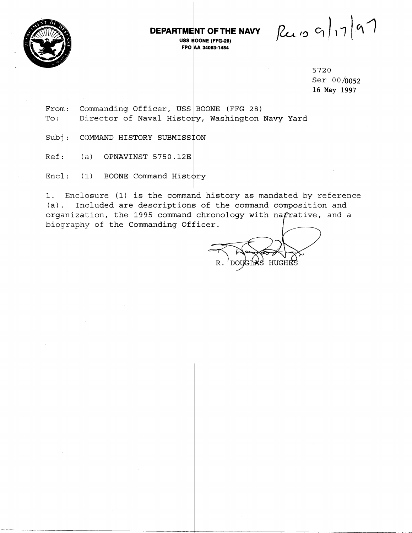

## **DEPARTMENT OFTHE NAVY**

**USS BOONE (FFG-28) FPO IAA 34003-1484** 

 $R_{210}$  g | 17 | 97

5720 Ser 00/0052 16 **May 1997** 

From: Commanding Officer, USS BOONE (FFG 28) To: Director of Naval History, Washington Navy Yard

Subj: COMMAND HISTORY SUBMISSION

Ref: (a) OPNAVINST 5750.12E

 $Encl:$  (1) BOONE Command History

1. Enclosure (1) is the command history as mandated by reference (a). Included are descriptions of the command composition and organization, the 1995 command chronology with na $\bm{f}$ rative, and a I. Enclosure (1) is the command nistory as mandated by reference<br>
(a). Included are descriptions of the command composition and<br>
organization, the 1995 command chronology with nafrative, and a<br>
biography of the Commanding

 $\, {\bf R}$  . HUGH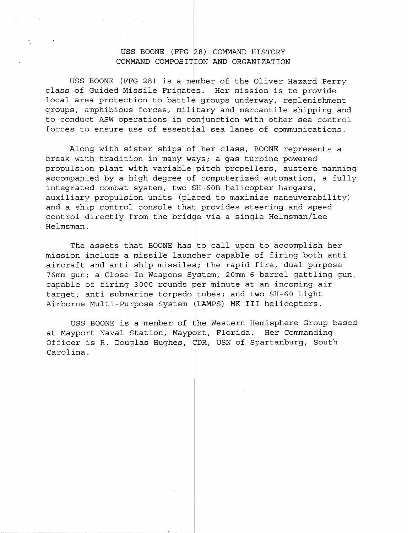## USS BOONE (FFG 28) COMMAND HISTORY COMMAND COMPOSITION AND ORGANIZATION

USS BOONE (FFG 28) is a member of the Oliver Hazard Perry class of Guided Missile Frigates. Her mission is to provide local area protection to battle groups underway, replenishment groups, amphibious forces, military and mercantile shipping and to conduct ASW operations in conjunction with other sea control forces to ensure use of essential sea lanes of communications.

Along with sister ships of her class, BOONE represents a break with tradition in many ways; a gas turbine powered propulsion plant with variable pitch propellers, austere manning accompanied by a high degree of computerized automation, a fully integrated combat system, two \$H-60B helicopter hangars, auxiliary propulsion units (placed to maximize maneuverability) Helmsman. pitc<br>f com<br>SH-60<br>aced<br>t pro and a ship control console that provides steering and speed control directly from the bridge via a single Helmsman/Lee

The assets that BOONE has to call upon to accomplish her mission include a missile launcher capable of firing both anti aircraft and anti ship missiles; the rapid fire, dual purpose 76mm gun; a Close-In Weapons System, 20mm 6 barrel gattling gun, capable of firing 3000 rounds per minute at an incoming air target; anti submarine torpedo tubes; and two SH-60 Light Airborne Multi-Purpose System LAMPS) MK I11 helicopters.

USS BOONE is a member of the Western Hemisphere Group based at Mayport Naval Station, Mayport, Florida. Her Commanding Officer is R. Douglas Hughes, CDR, USN of Spartanburg, South Carolina.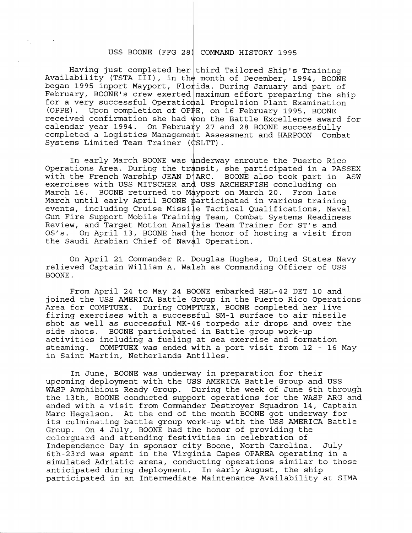## USS BOONE (FFG 28) COMMAND HISTORY 1995

Having just completed her third Tailored Ship's Training Availability (TSTA III), in the month of December, 1994, BOONE began 1995 inport Mayport, Florida. During January and part of February, BOONE's crew exerted maximum effort preparing the ship for a very successful Operational Propulsion Plant Examination (OPPE). Upon completion of OPPE, on 16 February 1995, BOONE received confirmation she had won the Battle Excellence award for calendar year 1994. On February 27 and 28 BOONE successfully completed a Logistics Management Assessment and HARPOON Combat<br>Systems Limited Team Trainer (CSLTT).

In early March BOONE was underway enroute the Puerto Rico Operations Area. During the transit, she participated in a PASSEX with the French Warship JEAN D'ARC. BOONE also took part in ASW exercises with USS MITSCHER and USS ARCHERFISH concluding on March 16. BOONE returned to Mayport on March 20. From late March until early April BOONE participated in various training events, including Cruise Missile Tactical Qualifications, Naval Gun Fire Support Mobile Training Team, Combat Systems Readiness Review, and Target Motion Analysis Team Trainer for ST'S and OS's. On April 13, BOONE had the honor of hosting a visit from the Saudi Arabian Chief of Naval Operation.

On April 21 Commander R. Douglas Hughes, United States Navy relieved Captain William A. Walsh as Commanding Officer of USS BOONE .

From April 24 to May 24 BOONE embarked HSL-42 DET 10 and joined the USS AMERICA Battle Group in the Puerto Rico Operations Area for COMPTUEX. During COMPTUEX, BOONE completed her live firing exercises with a successful SM-1 surface to air missile shot as well as successful  $MK-46$  torpedo air drops and over the side shots. BOONE participated in Battle group work-up activities including a fueling at sea exercise and formation steaming. COMPTUEX was ended with a port visit from 12 - 16 May in Saint Martin, Netherlands

In June, BOONE was underway in preparation for their upcoming deployment with the USS AMERICA Battle Group and USS WASP Amphibious Ready Group. During the week of June 6th through the 13th, BOONE conducted support operations for the WASP ARG and ended with a visit from Commander Destroyer Squadron 14, Captain Marc Hegelson. At the end of the month BOONE got underway for its culminating battle group work-up with the USS AMERICA Battle Group. On 4 July, BOONE had the honor of providing the colorguard and attending festivities in celebration of Independence Day in sponsor city Boone, North Carolina. July 6th-23rd was spent in the Virginia Capes OPAREA operating in a simulated Adriatic arena, conducting operations similar to those anticipated during deployment. In early August, the ship participated in an Intermediate Maintenance Availability at SIMA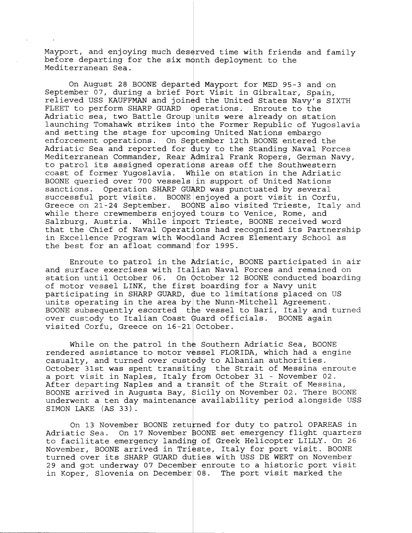Mayport, and enjoying much deserved time with friends and family before departing for the six month deployment to the Mediterranean Sea.

On August 28 BOONE departed Mayport for MED 95-3 and on September 07, during a brief Port Visit in Gibraltar, Spain, relieved USS KAUFFMAN and joined the United States Navy's SIXTH FLEET to perform SHARP GUARD operations. Enroute to the Adriatic sea, two Battle Group units were already on station launching Tomahawk strikes into the Former Republic of Yugoslavia and setting the stage for upcoming United Nations embargo enforcement operations. On September 12th BOONE entered the Adriatic Sea and reported for duty to the Standing Naval Forces Mediterranean Commander, Rear Admiral Frank Ropers, German Navy, to patrol its assigned operations areas off the Southwestern coast of former Yugoslavia. While on station in the Adriatic BOONE queried over 700 vessels in support of United Nations sanctions. Operation SHARP GUARD was punctuated by several successful port visits. BOONE enjoyed a port visit in Corfu, Greece on 21-24 September. BOONE also visited Trieste, Italy and while there crewmembers enjoyed tours to Venice, Rome, and Salzburg, Austria. While inport Trieste, BOONE received word that the Chief of Naval Operations had recognized its Partnership in Excellence Program with Woodland Acres Elementary School as the best for an afloat command for 1995.

Enroute to patrol in the Adriatic, BOONE participated in air and surface exercises with Italian Naval Forces and remained on station until October 06. On October 12 BOONE conducted boarding of motor vessel LINK, the first boarding for a Navy unit participating in SHARP GUARD, due to limitations placed on US units operating in the area by the Nunn-Mitchell Agreement. BOONE subsequently escorted the vessel to Bari, Italy and turned over custody to Italian Coast Guard officials. BOONE again visited Corfu, Greece on 16-21 October.

While on the patrol in the Southern Adriatic Sea, BOONE rendered assistance to motor vessel FLORIDA, which had a engine casualty, and turned over custody to Albanian authorities. October 31st was spent transiting the Strait of Messina enroute a port visit in Naples, Italy from October 31 - November 02. After departing Naples and a transit of the Strait of Messina, BOONE arrived in Auqusta Bay, Sicily on November 02. There BOONE underwent a ten day maintenance availability period alongside USS SIMON LAKE (AS 33).

On 13 November BOONE returned for duty to patrol OPAREAS in Adriatic Sea. On 17 November BOONE set emergency flight quarters to facilitate emergency landing of Greek Helicopter LILLY. On 26 November, BOONE arrived in Trieste, Italy for port visit. BOONE turned over its SHARP GUARD duties with USS DE WERT on November 29 and got underway 07 December enroute to a historic port visit in Koper, Slovenia on December 08. The port visit marked the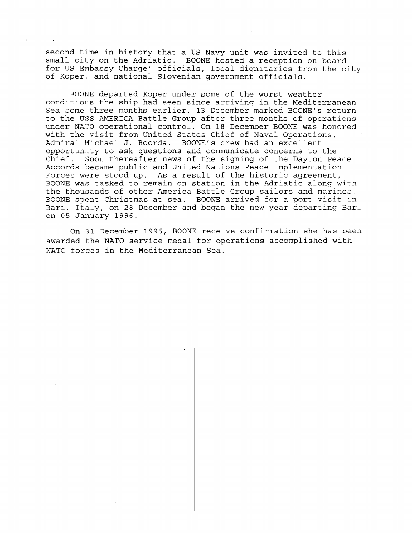second time in history that a  $\overline{v}$ S Navy unit was invited to this small city on the Adriatic. BOONE hosted a reception on board for US Embassy Charge' officials, local dignitaries from the city of Koper,, and national Slovenian government officials.

BOONE departed Koper under some of the worst weather conditions the ship had seen since arriving in the Mediterranean Sea some three months earlier. 13 December marked BOONE's return to the USS AMERICA Battle Group after three months of operations under NATO operational control. On 18 December BOONE was honored with the visit from United States Chief of Naval Operations, Admiral Michael J. Boorda. BOONE's crew had an excellent opportunity to ask questions and communicate concerns to the Chief. Soon thereafter news of the signing of the Dayton Peace Accords became public and United Nations Peace Implementation Forces were stood up. As a result of the historic agreement, BOONE was tasked to remain on station in the Adriatic along with the thousands of other America Battle Group sailors and marines. BOONE spent Christmas at sea.  $|$  BOONE arrived for a port visit in Bari, Italy, on 28 December and began the new year departing Bari on 05 January 1996.

On 31 December 1995, BOONE receive confirmation she has been awarded the NATO service medal for operations accomplished with NATO forces in the Mediterranean Sea.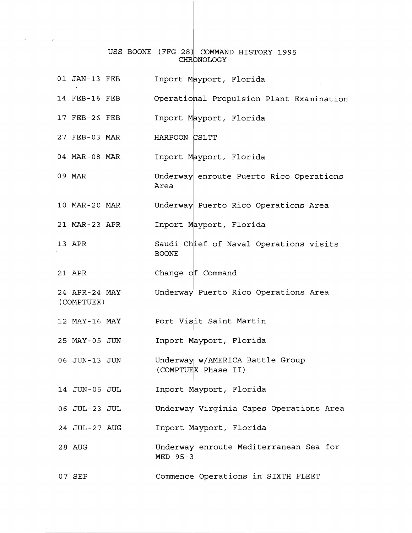## USS BOONE (FFG 28) COMMAND HISTORY 1995 CHRONOLOGY

 $\sim 10^{-11}$ 

| 01 JAN-13 FEB               | Inport Mayport, Florida                                |
|-----------------------------|--------------------------------------------------------|
| 14 FEB-16 FEB               | Operational Propulsion Plant Examination               |
| 17 FEB-26 FEB               | Inport Mayport, Florida                                |
| 27 FEB-03 MAR               | HARPOON CSLTT                                          |
| 04 MAR-08 MAR               | Inport Mayport, Florida                                |
| 09 MAR                      | Underway enroute Puerto Rico Operations<br>Area        |
| 10 MAR-20 MAR               | Underway Puerto Rico Operations Area                   |
| 21 MAR-23 APR               | Inport Mayport, Florida                                |
| 13 APR                      | Saudi Chief of Naval Operations visits<br><b>BOONE</b> |
| 21 APR                      | Change of Command                                      |
| 24 APR-24 MAY<br>(COMPTUEX) | Underway Puerto Rico Operations Area                   |
| 12 MAY-16 MAY               | Port Visit Saint Martin                                |
| 25 MAY-05 JUN               | Inport Mayport, Florida                                |
| 06 JUN-13 JUN               | Underway w/AMERICA Battle Group<br>(COMPTUEX Phase II) |
| 14 JUN-05 JUL               | Inport Mayport, Florida                                |
| 06 JUL-23 JUL               | Underway Virginia Capes Operations Area                |
| 24 JUL-27 AUG               | Inport Mayport, Florida                                |
| 28 AUG                      | Underway enroute Mediterranean Sea for<br>MED 95-3     |
| 07 SEP                      | Commence Operations in SIXTH FLEET                     |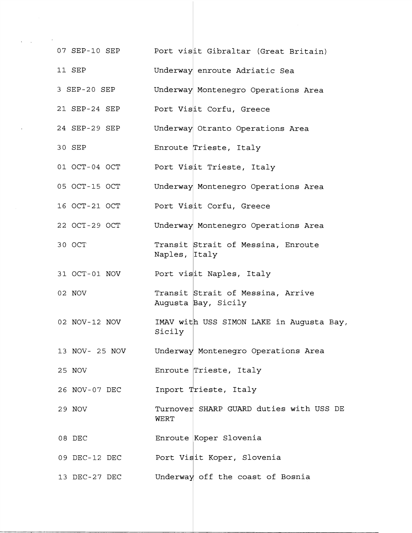| 07 SEP-10 SEP  | Port visit Gibraltar (Great Britain)                     |
|----------------|----------------------------------------------------------|
| 11 SEP         | Underway enroute Adriatic Sea                            |
| 3 SEP-20 SEP   | Underway Montenegro Operations Area                      |
| 21 SEP-24 SEP  | Port Visit Corfu, Greece                                 |
| 24 SEP-29 SEP  | Underway Otranto Operations Area                         |
| 30 SEP         | Enroute Trieste, Italy                                   |
| 01 OCT-04 OCT  | Port Visit Trieste, Italy                                |
| 05 OCT-15 OCT  | Underway Montenegro Operations Area                      |
| 16 OCT-21 OCT  | Port Visit Corfu, Greece                                 |
| 22 OCT-29 OCT  | Underway Montenegro Operations Area                      |
| 30 OCT         | Transit Strait of Messina, Enroute<br>Naples, Italy      |
| 31 OCT-01 NOV  | Port visit Naples, Italy                                 |
| 02 NOV         | Transit Strait of Messina, Arrive<br>Augusta Bay, Sicily |
| 02 NOV-12 NOV  | IMAV with USS SIMON LAKE in Augusta Bay,<br>Sicily       |
| 13 NOV- 25 NOV | Underway Montenegro Operations Area                      |
| 25 NOV         | Enroute Trieste, Italy                                   |
| 26 NOV-07 DEC  | Inport Trieste, Italy                                    |
| 29 NOV         | Turnover SHARP GUARD duties with USS DE<br>WERT          |
| 08 DEC         | Enroute Koper Slovenia                                   |
| 09 DEC-12 DEC  | Port Visit Koper, Slovenia                               |
| 13 DEC-27 DEC  | Underway off the coast of Bosnia                         |